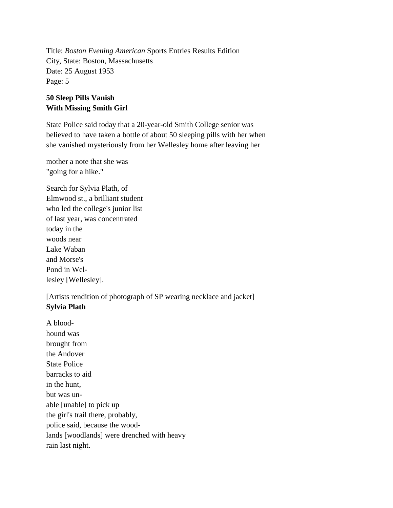Title: *Boston Evening American* Sports Entries Results Edition City, State: Boston, Massachusetts Date: 25 August 1953 Page: 5

## **50 Sleep Pills Vanish With Missing Smith Girl**

State Police said today that a 20-year-old Smith College senior was believed to have taken a bottle of about 50 sleeping pills with her when she vanished mysteriously from her Wellesley home after leaving her

mother a note that she was "going for a hike."

Search for Sylvia Plath, of Elmwood st., a brilliant student who led the college's junior list of last year, was concentrated today in the woods near Lake Waban and Morse's Pond in Wellesley [Wellesley].

[Artists rendition of photograph of SP wearing necklace and jacket] **Sylvia Plath**

A bloodhound was brought from the Andover State Police barracks to aid in the hunt, but was unable [unable] to pick up the girl's trail there, probably, police said, because the woodlands [woodlands] were drenched with heavy rain last night.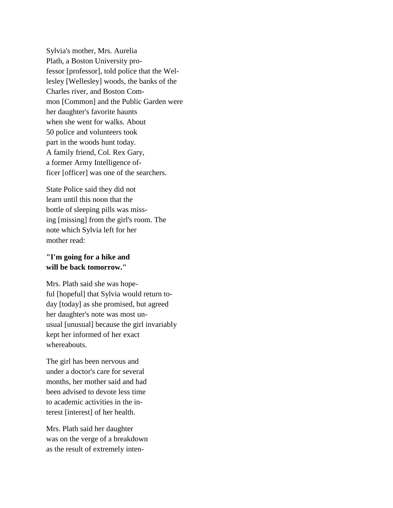Sylvia's mother, Mrs. Aurelia Plath, a Boston University professor [professor], told police that the Wellesley [Wellesley] woods, the banks of the Charles river, and Boston Common [Common] and the Public Garden were her daughter's favorite haunts when she went for walks. About 50 police and volunteers took part in the woods hunt today. A family friend, Col. Rex Gary, a former Army Intelligence officer [officer] was one of the searchers.

State Police said they did not learn until this noon that the bottle of sleeping pills was missing [missing] from the girl's room. The note which Sylvia left for her mother read:

## **"I'm going for a hike and will be back tomorrow."**

Mrs. Plath said she was hopeful [hopeful] that Sylvia would return today [today] as she promised, but agreed her daughter's note was most unusual [unusual] because the girl invariably kept her informed of her exact whereabouts.

The girl has been nervous and under a doctor's care for several months, her mother said and had been advised to devote less time to academic activities in the interest [interest] of her health.

Mrs. Plath said her daughter was on the verge of a breakdown as the result of extremely inten